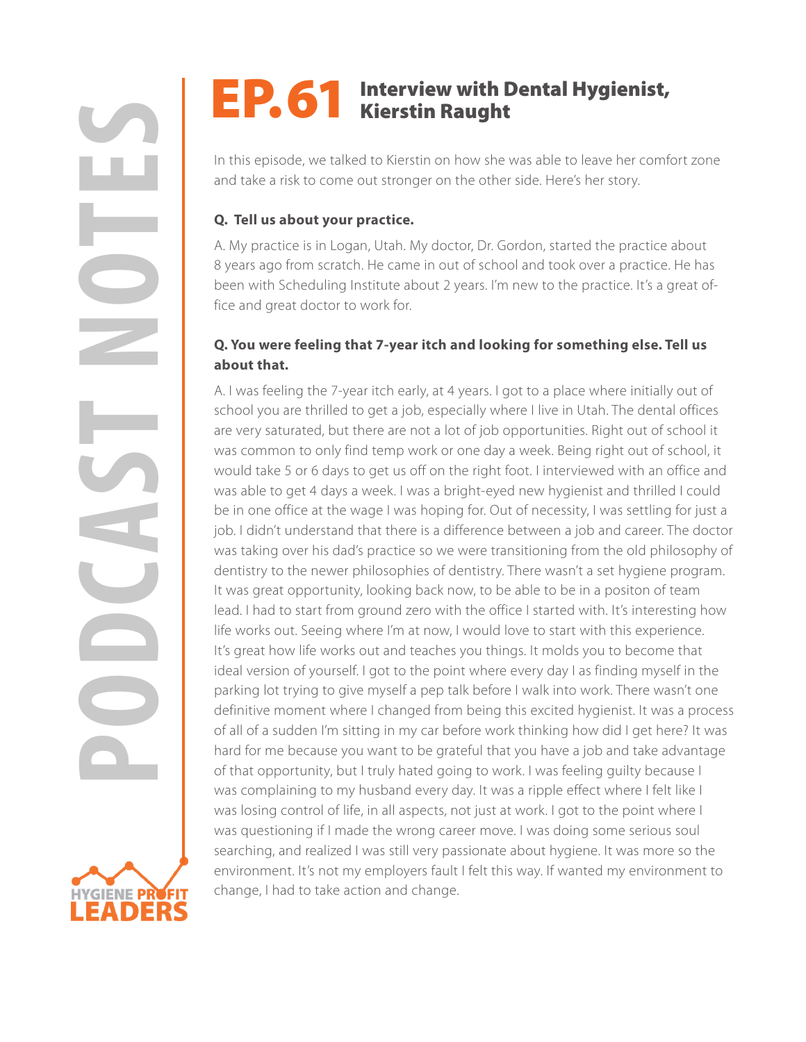# EP. 61 Interview with Dental Hygienist,

In this episode, we talked to Kierstin on how she was able to leave her comfort zone and take a risk to come out stronger on the other side. Here's her story.

## **Q. Tell us about your practice.**

A. My practice is in Logan, Utah. My doctor, Dr. Gordon, started the practice about 8 years ago from scratch. He came in out of school and took over a practice. He has been with Scheduling Institute about 2 years. I'm new to the practice. It's a great office and great doctor to work for.

# **Q. You were feeling that 7-year itch and looking for something else. Tell us about that.**

**POPERRY NOTEST INTERVIEW WITH DENTAL Hygienist,**<br>
In this episod, we talked to Kleestin on how she was able to leave her contract that the anise to come out stronger on the other side. Here is tractor, the NM, and the str A. I was feeling the 7-year itch early, at 4 years. I got to a place where initially out of school you are thrilled to get a job, especially where I live in Utah. The dental offices are very saturated, but there are not a lot of job opportunities. Right out of school it was common to only find temp work or one day a week. Being right out of school, it would take 5 or 6 days to get us off on the right foot. I interviewed with an office and was able to get 4 days a week. I was a bright-eyed new hygienist and thrilled I could be in one office at the wage I was hoping for. Out of necessity, I was settling for just a job. I didn't understand that there is a difference between a job and career. The doctor was taking over his dad's practice so we were transitioning from the old philosophy of dentistry to the newer philosophies of dentistry. There wasn't a set hygiene program. It was great opportunity, looking back now, to be able to be in a positon of team lead. I had to start from ground zero with the office I started with. It's interesting how life works out. Seeing where I'm at now, I would love to start with this experience. It's great how life works out and teaches you things. It molds you to become that ideal version of yourself. I got to the point where every day I as finding myself in the parking lot trying to give myself a pep talk before I walk into work. There wasn't one definitive moment where I changed from being this excited hygienist. It was a process of all of a sudden I'm sitting in my car before work thinking how did I get here? It was hard for me because you want to be grateful that you have a job and take advantage of that opportunity, but I truly hated going to work. I was feeling guilty because I was complaining to my husband every day. It was a ripple effect where I felt like I was losing control of life, in all aspects, not just at work. I got to the point where I was questioning if I made the wrong career move. I was doing some serious soul searching, and realized I was still very passionate about hygiene. It was more so the environment. It's not my employers fault I felt this way. If wanted my environment to change, I had to take action and change.